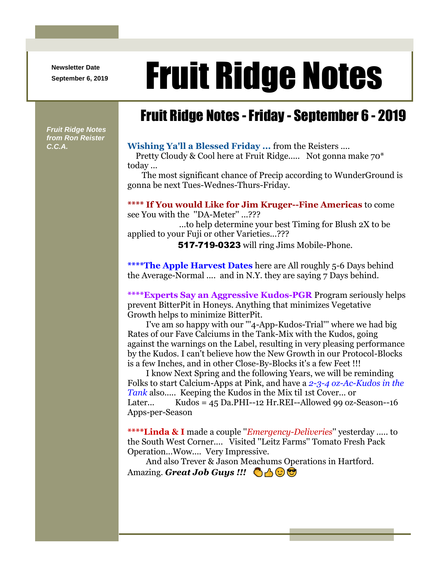**Newsletter Date**

## Newsletter Date **Fruit Ridge Notes**

## Fruit Ridge Notes -Friday - September 6 - 2019

*Fruit Ridge Notes from Ron Reister* 

## *C.C.A.* **Wishing Ya'll a Blessed Friday ...** from the Reisters ....

Pretty Cloudy & Cool here at Fruit Ridge..... Not gonna make 70\* today ...

The most significant chance of Precip according to WunderGround is gonna be next Tues-Wednes-Thurs-Friday.

**\*\*\*\* If You would Like for Jim Kruger--Fine Americas** to come see You with the ''DA-Meter'' ...???

...to help determine your best Timing for Blush 2X to be applied to your Fuji or other Varieties...???

517-719-0323 will ring Jims Mobile-Phone.

**\*\*\*\*The Apple Harvest Dates** here are All roughly 5-6 Days behind the Average-Normal .... and in N.Y. they are saying 7 Days behind.

**\*\*\*\*Experts Say an Aggressive Kudos-PGR** Program seriously helps prevent BitterPit in Honeys. Anything that minimizes Vegetative Growth helps to minimize BitterPit.

I've am so happy with our '''4-App-Kudos-Trial''' where we had big Rates of our Fave Calciums in the Tank-Mix with the Kudos, going against the warnings on the Label, resulting in very pleasing performance by the Kudos. I can't believe how the New Growth in our Protocol-Blocks is a few Inches, and in other Close-By-Blocks it's a few Feet !!!

I know Next Spring and the following Years, we will be reminding Folks to start Calcium-Apps at Pink, and have a *2-3-4 oz-Ac-Kudos in the Tank* also..... Keeping the Kudos in the Mix til 1st Cover... or Later...  $Kudos = 45 Da.PHI--12 Hr.REI-Allowed 99 oz-Season--16$ Apps-per-Season

**\*\*\*\*Linda & I** made a couple ''*Emergency-Deliveries*'' yesterday ..... to the South West Corner.... Visited ''Leitz Farms'' Tomato Fresh Pack Operation...Wow.... Very Impressive.

And also Trever & Jason Meachums Operations in Hartford. Amazing. **Great Job Guys !!! And G**